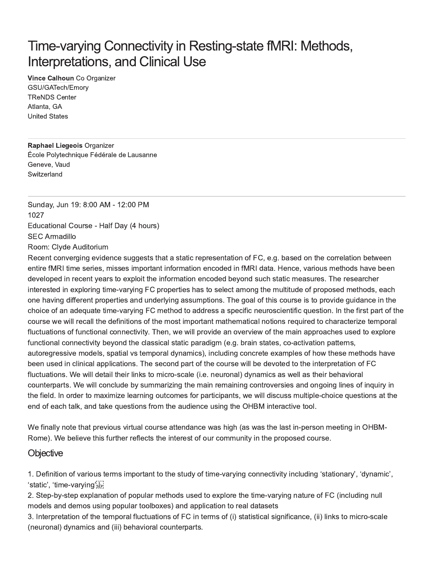# Time-varying Connectivity in Resting-state fMRI: Methods, **Interpretations, and Clinical Use**

Vince Calhoun Co Organizer GSU/GATech/Emory **TReNDS Center** Atlanta, GA **United States** 

**Raphael Liegeois Organizer** École Polytechnique Fédérale de Lausanne Geneve, Vaud Switzerland

Sunday, Jun 19: 8:00 AM - 12:00 PM 1027 Educational Course - Half Day (4 hours) **SEC Armadillo** Room: Clyde Auditorium

Recent converging evidence suggests that a static representation of FC, e.g. based on the correlation between entire fMRI time series, misses important information encoded in fMRI data. Hence, various methods have been developed in recent years to exploit the information encoded beyond such static measures. The researcher interested in exploring time-varying FC properties has to select among the multitude of proposed methods, each one having different properties and underlying assumptions. The goal of this course is to provide guidance in the choice of an adequate time-varying FC method to address a specific neuroscientific question. In the first part of the course we will recall the definitions of the most important mathematical notions required to characterize temporal fluctuations of functional connectivity. Then, we will provide an overview of the main approaches used to explore functional connectivity beyond the classical static paradigm (e.g. brain states, co-activation patterns, autoregressive models, spatial vs temporal dynamics), including concrete examples of how these methods have been used in clinical applications. The second part of the course will be devoted to the interpretation of FC fluctuations. We will detail their links to micro-scale (i.e. neuronal) dynamics as well as their behavioral counterparts. We will conclude by summarizing the main remaining controversies and ongoing lines of inquiry in the field. In order to maximize learning outcomes for participants, we will discuss multiple-choice questions at the end of each talk, and take questions from the audience using the OHBM interactive tool.

We finally note that previous virtual course attendance was high (as was the last in-person meeting in OHBM-Rome). We believe this further reflects the interest of our community in the proposed course.

#### Objective

1. Definition of various terms important to the study of time-varying connectivity including 'stationary', 'dynamic', 'static', 'time-varying's

2. Step-by-step explanation of popular methods used to explore the time-varying nature of FC (including null models and demos using popular toolboxes) and application to real datasets

3. Interpretation of the temporal fluctuations of FC in terms of (i) statistical significance, (ii) links to micro-scale (neuronal) dynamics and (iii) behavioral counterparts.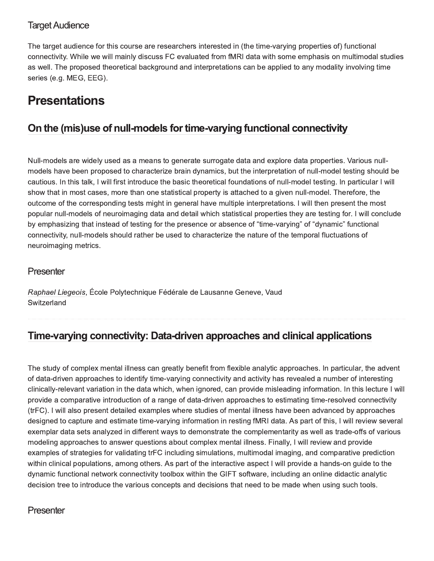### **Target Audience**

The target audience for this course are researchers interested in (the time-varying properties of) functional connectivity. While we will mainly discuss FC evaluated from fMRI data with some emphasis on multimodal studies as well. The proposed theoretical background and interpretations can be applied to any modality involving time series (e.g. MEG, EEG).

## **Presentations**

## On the (mis)use of null-models for time-varying functional connectivity

Null-models are widely used as a means to generate surrogate data and explore data properties. Various nullmodels have been proposed to characterize brain dynamics, but the interpretation of null-model testing should be cautious. In this talk, I will first introduce the basic theoretical foundations of null-model testing. In particular I will show that in most cases, more than one statistical property is attached to a given null-model. Therefore, the outcome of the corresponding tests might in general have multiple interpretations. I will then present the most popular null-models of neuroimaging data and detail which statistical properties they are testing for. I will conclude by emphasizing that instead of testing for the presence or absence of "time-varying" of "dynamic" functional connectivity, null-models should rather be used to characterize the nature of the temporal fluctuations of neuroimaging metrics.

### Presenter

Raphael Liegeois, École Polytechnique Fédérale de Lausanne Geneve, Vaud Switzerland

### Time-varying connectivity: Data-driven approaches and clinical applications

The study of complex mental illness can greatly benefit from flexible analytic approaches. In particular, the advent of data-driven approaches to identify time-varying connectivity and activity has revealed a number of interesting clinically-relevant variation in the data which, when ignored, can provide misleading information. In this lecture I will provide a comparative introduction of a range of data-driven approaches to estimating time-resolved connectivity (trFC). I will also present detailed examples where studies of mental illness have been advanced by approaches designed to capture and estimate time-varying information in resting fMRI data. As part of this, I will review several exemplar data sets analyzed in different ways to demonstrate the complementarity as well as trade-offs of various modeling approaches to answer questions about complex mental illness. Finally, I will review and provide examples of strategies for validating trFC including simulations, multimodal imaging, and comparative prediction within clinical populations, among others. As part of the interactive aspect I will provide a hands-on guide to the dynamic functional network connectivity toolbox within the GIFT software, including an online didactic analytic decision tree to introduce the various concepts and decisions that need to be made when using such tools.

#### Presenter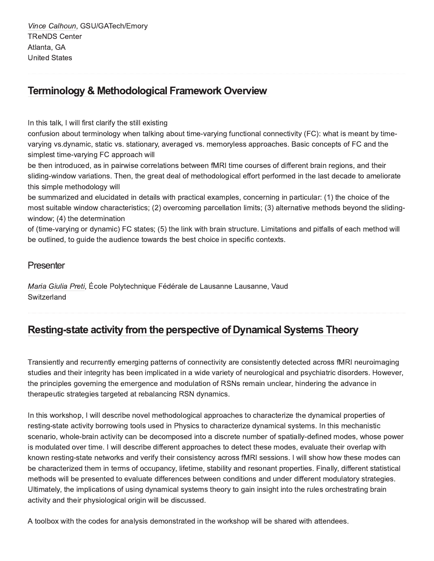Vince Calhoun, GSU/GATech/Emory **TReNDS Center** Atlanta, GA **United States** 

### **Terminology & Methodological Framework Overview**

In this talk, I will first clarify the still existing

confusion about terminology when talking about time-varying functional connectivity (FC): what is meant by timevarying vs.dynamic, static vs. stationary, averaged vs. memoryless approaches. Basic concepts of FC and the simplest time-varying FC approach will

be then introduced, as in pairwise correlations between fMRI time courses of different brain regions, and their sliding-window variations. Then, the great deal of methodological effort performed in the last decade to ameliorate this simple methodology will

be summarized and elucidated in details with practical examples, concerning in particular: (1) the choice of the most suitable window characteristics; (2) overcoming parcellation limits; (3) alternative methods beyond the slidingwindow; (4) the determination

of (time-varying or dynamic) FC states; (5) the link with brain structure. Limitations and pitfalls of each method will be outlined, to quide the audience towards the best choice in specific contexts.

#### Presenter

Maria Giulia Preti, École Polytechnique Fédérale de Lausanne Lausanne, Vaud Switzerland

### Resting-state activity from the perspective of Dynamical Systems Theory

Transiently and recurrently emerging patterns of connectivity are consistently detected across fMRI neuroimaging studies and their integrity has been implicated in a wide variety of neurological and psychiatric disorders. However, the principles governing the emergence and modulation of RSNs remain unclear, hindering the advance in therapeutic strategies targeted at rebalancing RSN dynamics.

In this workshop, I will describe novel methodological approaches to characterize the dynamical properties of resting-state activity borrowing tools used in Physics to characterize dynamical systems. In this mechanistic scenario, whole-brain activity can be decomposed into a discrete number of spatially-defined modes, whose power is modulated over time. I will describe different approaches to detect these modes, evaluate their overlap with known resting-state networks and verify their consistency across fMRI sessions. I will show how these modes can be characterized them in terms of occupancy, lifetime, stability and resonant properties. Finally, different statistical methods will be presented to evaluate differences between conditions and under different modulatory strategies. Ultimately, the implications of using dynamical systems theory to gain insight into the rules orchestrating brain activity and their physiological origin will be discussed.

A toolbox with the codes for analysis demonstrated in the workshop will be shared with attendees.